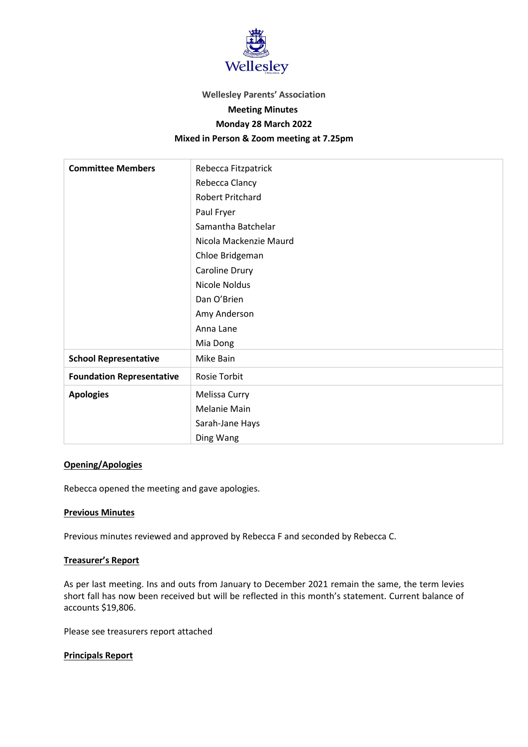

#### **Wellesley Parents' Association**

## **Meeting Minutes**

## **Monday 28 March 2022**

# **Mixed in Person & Zoom meeting at 7.25pm**

| <b>Committee Members</b>         | Rebecca Fitzpatrick     |
|----------------------------------|-------------------------|
|                                  | Rebecca Clancy          |
|                                  | <b>Robert Pritchard</b> |
|                                  | Paul Fryer              |
|                                  | Samantha Batchelar      |
|                                  | Nicola Mackenzie Maurd  |
|                                  | Chloe Bridgeman         |
|                                  | Caroline Drury          |
|                                  | Nicole Noldus           |
|                                  | Dan O'Brien             |
|                                  | Amy Anderson            |
|                                  | Anna Lane               |
|                                  | Mia Dong                |
| <b>School Representative</b>     | Mike Bain               |
| <b>Foundation Representative</b> | <b>Rosie Torbit</b>     |
| <b>Apologies</b>                 | Melissa Curry           |
|                                  | <b>Melanie Main</b>     |
|                                  | Sarah-Jane Hays         |
|                                  | Ding Wang               |

# **Opening/Apologies**

Rebecca opened the meeting and gave apologies.

## **Previous Minutes**

Previous minutes reviewed and approved by Rebecca F and seconded by Rebecca C.

#### **Treasurer's Report**

As per last meeting. Ins and outs from January to December 2021 remain the same, the term levies short fall has now been received but will be reflected in this month's statement. Current balance of accounts \$19,806.

Please see treasurers report attached

# **Principals Report**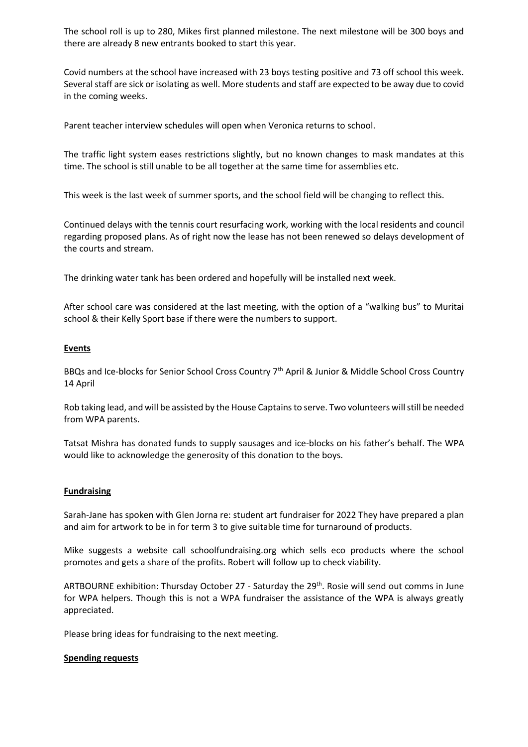The school roll is up to 280, Mikes first planned milestone. The next milestone will be 300 boys and there are already 8 new entrants booked to start this year.

Covid numbers at the school have increased with 23 boys testing positive and 73 off school this week. Several staff are sick or isolating as well. More students and staff are expected to be away due to covid in the coming weeks.

Parent teacher interview schedules will open when Veronica returns to school.

The traffic light system eases restrictions slightly, but no known changes to mask mandates at this time. The school is still unable to be all together at the same time for assemblies etc.

This week is the last week of summer sports, and the school field will be changing to reflect this.

Continued delays with the tennis court resurfacing work, working with the local residents and council regarding proposed plans. As of right now the lease has not been renewed so delays development of the courts and stream.

The drinking water tank has been ordered and hopefully will be installed next week.

After school care was considered at the last meeting, with the option of a "walking bus" to Muritai school & their Kelly Sport base if there were the numbers to support.

## **Events**

BBQs and Ice-blocks for Senior School Cross Country 7th April & Junior & Middle School Cross Country 14 April

Rob taking lead, and will be assisted by the House Captains to serve. Two volunteers will still be needed from WPA parents.

Tatsat Mishra has donated funds to supply sausages and ice-blocks on his father's behalf. The WPA would like to acknowledge the generosity of this donation to the boys.

#### **Fundraising**

Sarah-Jane has spoken with Glen Jorna re: student art fundraiser for 2022 They have prepared a plan and aim for artwork to be in for term 3 to give suitable time for turnaround of products.

Mike suggests a website call schoolfundraising.org which sells eco products where the school promotes and gets a share of the profits. Robert will follow up to check viability.

ARTBOURNE exhibition: Thursday October 27 - Saturday the 29<sup>th</sup>. Rosie will send out comms in June for WPA helpers. Though this is not a WPA fundraiser the assistance of the WPA is always greatly appreciated.

Please bring ideas for fundraising to the next meeting.

#### **Spending requests**